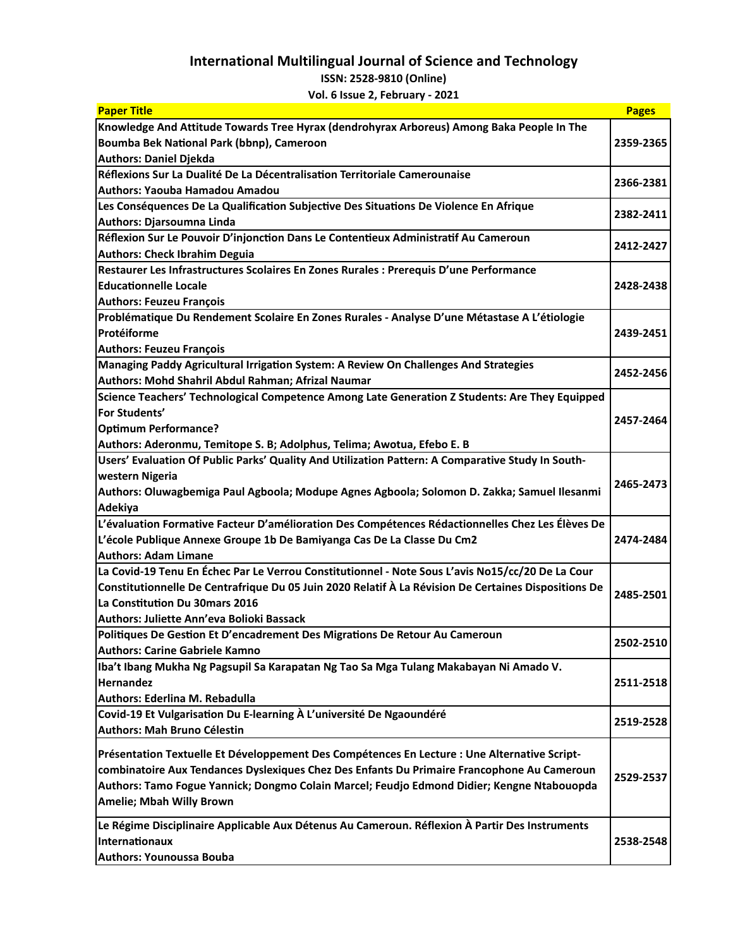## **International Multilingual Journal of Science and Technology**

**ISSN: 2528‐9810 (Online)**

**Vol. 6 Issue 2, February ‐ 2021**

| <b>Paper Title</b>                                                                                   | <b>Pages</b> |
|------------------------------------------------------------------------------------------------------|--------------|
| Knowledge And Attitude Towards Tree Hyrax (dendrohyrax Arboreus) Among Baka People In The            |              |
| Boumba Bek National Park (bbnp), Cameroon                                                            | 2359-2365    |
| <b>Authors: Daniel Djekda</b>                                                                        |              |
| Réflexions Sur La Dualité De La Décentralisation Territoriale Camerounaise                           |              |
| <b>Authors: Yaouba Hamadou Amadou</b>                                                                | 2366-2381    |
| Les Conséquences De La Qualification Subjective Des Situations De Violence En Afrique                |              |
| Authors: Djarsoumna Linda                                                                            | 2382-2411    |
| Réflexion Sur Le Pouvoir D'injonction Dans Le Contentieux Administratif Au Cameroun                  |              |
| <b>Authors: Check Ibrahim Deguia</b>                                                                 | 2412-2427    |
| Restaurer Les Infrastructures Scolaires En Zones Rurales : Prerequis D'une Performance               |              |
| <b>Educationnelle Locale</b>                                                                         | 2428-2438    |
| <b>Authors: Feuzeu François</b>                                                                      |              |
| Problématique Du Rendement Scolaire En Zones Rurales - Analyse D'une Métastase A L'étiologie         |              |
| Protéiforme                                                                                          | 2439-2451    |
| <b>Authors: Feuzeu François</b>                                                                      |              |
| Managing Paddy Agricultural Irrigation System: A Review On Challenges And Strategies                 |              |
| Authors: Mohd Shahril Abdul Rahman; Afrizal Naumar                                                   | 2452-2456    |
| Science Teachers' Technological Competence Among Late Generation Z Students: Are They Equipped       |              |
| For Students'                                                                                        |              |
| <b>Optimum Performance?</b>                                                                          | 2457-2464    |
| Authors: Aderonmu, Temitope S. B; Adolphus, Telima; Awotua, Efebo E. B                               |              |
| Users' Evaluation Of Public Parks' Quality And Utilization Pattern: A Comparative Study In South-    |              |
| western Nigeria                                                                                      |              |
| Authors: Oluwagbemiga Paul Agboola; Modupe Agnes Agboola; Solomon D. Zakka; Samuel Ilesanmi          | 2465-2473    |
| Adekiya                                                                                              |              |
| L'évaluation Formative Facteur D'amélioration Des Compétences Rédactionnelles Chez Les Élèves De     |              |
| L'école Publique Annexe Groupe 1b De Bamiyanga Cas De La Classe Du Cm2                               | 2474-2484    |
| <b>Authors: Adam Limane</b>                                                                          |              |
| La Covid-19 Tenu En Échec Par Le Verrou Constitutionnel - Note Sous L'avis No15/cc/20 De La Cour     |              |
| Constitutionnelle De Centrafrique Du 05 Juin 2020 Relatif À La Révision De Certaines Dispositions De | 2485-2501    |
| La Constitution Du 30mars 2016                                                                       |              |
| Authors: Juliette Ann'eva Bolioki Bassack                                                            |              |
| Politiques De Gestion Et D'encadrement Des Migrations De Retour Au Cameroun                          | 2502-2510    |
| <b>Authors: Carine Gabriele Kamno</b>                                                                |              |
| Iba't Ibang Mukha Ng Pagsupil Sa Karapatan Ng Tao Sa Mga Tulang Makabayan Ni Amado V.                |              |
| <b>Hernandez</b>                                                                                     | 2511-2518    |
| Authors: Ederlina M. Rebadulla                                                                       |              |
| Covid-19 Et Vulgarisation Du E-learning À L'université De Ngaoundéré                                 |              |
| <b>Authors: Mah Bruno Célestin</b>                                                                   | 2519-2528    |
| Présentation Textuelle Et Développement Des Compétences En Lecture : Une Alternative Script-         |              |
| combinatoire Aux Tendances Dyslexiques Chez Des Enfants Du Primaire Francophone Au Cameroun          |              |
| Authors: Tamo Fogue Yannick; Dongmo Colain Marcel; Feudjo Edmond Didier; Kengne Ntabouopda           | 2529-2537    |
| Amelie; Mbah Willy Brown                                                                             |              |
|                                                                                                      |              |
| Le Régime Disciplinaire Applicable Aux Détenus Au Cameroun. Réflexion À Partir Des Instruments       |              |
| Internationaux                                                                                       | 2538-2548    |
| <b>Authors: Younoussa Bouba</b>                                                                      |              |